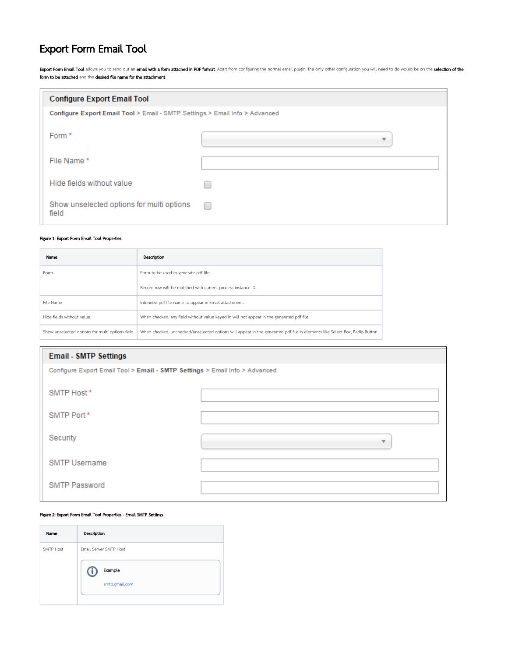# Export Form Email Tool

Export Form Email Tool allows you to send out an email with a form attached in PDF format. Apart from configuring the normal email plugin, the only other configuration you will need to do would be on the selection of the form to be attached and the desired file name for the attachment.

| <b>Configure Export Email Tool</b>                                          |   |
|-----------------------------------------------------------------------------|---|
| Configure Export Email Tool > Email - SMTP Settings > Email Info > Advanced |   |
| Form *                                                                      |   |
| File Name*                                                                  |   |
| Hide fields without value                                                   |   |
| Show unselected options for multi options<br>field                          | r |

### Figure 1: Export Form Email Tool Properties

| Name                                            | Description                                                                                                                 |
|-------------------------------------------------|-----------------------------------------------------------------------------------------------------------------------------|
| Form                                            | Form to be used to generate pdf file.                                                                                       |
|                                                 | Record row will be matched with current process instance ID.                                                                |
| File Name                                       | Intended pdf file name to appear in Email attachment.                                                                       |
| Hide fields without value                       | When checked, any field without value keyed in will not appear in the generated pdf file.                                   |
| Show unselected options for multi options field | When checked, unchecked/unselected options will appear in the generated pdf file in elements like Select Box, Radio Button. |

| <b>Email - SMTP Settings</b>                                                |   |
|-----------------------------------------------------------------------------|---|
| Configure Export Email Tool > Email - SMTP Settings > Email Info > Advanced |   |
| SMTP Host*                                                                  |   |
| SMTP Port*                                                                  |   |
| Security                                                                    | ▼ |
| <b>SMTP Username</b>                                                        |   |
| <b>SMTP Password</b>                                                        |   |

# Figure 2: Export Form Email Tool Properties - Email SMTP Settings

 $\odot$ 

| Name      | Description            |
|-----------|------------------------|
| SMTP Host | Email Server SMTP Host |
|           | Example<br>417         |
|           | smtp.gmail.com         |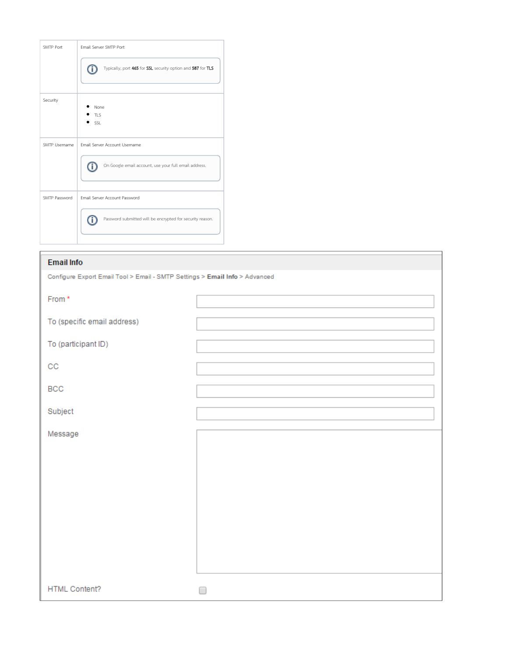| Email Server SMTP Port                                           |
|------------------------------------------------------------------|
| Typically, port 465 for SSL security option and 587 for TLS<br>♦ |
|                                                                  |
| None                                                             |
| <b>TLS</b>                                                       |
| SSL                                                              |
| Email Server Account Username                                    |
| On Google email account, use your full email address.<br>Ö       |
| Email Server Account Password                                    |
| Password submitted will be encrypted for security reason.        |
|                                                                  |

| <b>Email Info</b>                                                           |  |
|-----------------------------------------------------------------------------|--|
| Configure Export Email Tool > Email - SMTP Settings > Email Info > Advanced |  |
| From *                                                                      |  |
| To (specific email address)                                                 |  |
| To (participant ID)                                                         |  |
| $_{\rm CC}$                                                                 |  |
| BCC                                                                         |  |
| Subject                                                                     |  |
| Message                                                                     |  |
|                                                                             |  |
| <b>HTML Content?</b>                                                        |  |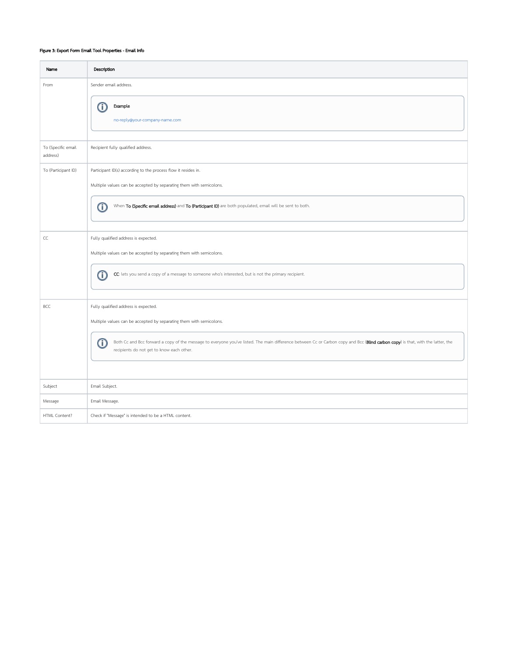# Figure 3: Export Form Email Tool Properties - Email Info

| Name                           | Description                                                                                                                                                                                                                        |  |  |  |
|--------------------------------|------------------------------------------------------------------------------------------------------------------------------------------------------------------------------------------------------------------------------------|--|--|--|
| From                           | Sender email address.                                                                                                                                                                                                              |  |  |  |
|                                | Example<br>⋒                                                                                                                                                                                                                       |  |  |  |
|                                | no-reply@your-company-name.com                                                                                                                                                                                                     |  |  |  |
| To (Specific email<br>address) | Recipient fully qualified address.                                                                                                                                                                                                 |  |  |  |
| To (Participant ID)            | Participant ID(s) according to the process flow it resides in.                                                                                                                                                                     |  |  |  |
|                                | Multiple values can be accepted by separating them with semicolons.                                                                                                                                                                |  |  |  |
|                                | When To (Specific email address) and To (Participant ID) are both populated, email will be sent to both.<br>⋔                                                                                                                      |  |  |  |
| CC                             | Fully qualified address is expected.                                                                                                                                                                                               |  |  |  |
|                                | Multiple values can be accepted by separating them with semicolons.                                                                                                                                                                |  |  |  |
|                                | CC: lets you send a copy of a message to someone who's interested, but is not the primary recipient.<br>O                                                                                                                          |  |  |  |
| BCC                            | Fully qualified address is expected.                                                                                                                                                                                               |  |  |  |
|                                | Multiple values can be accepted by separating them with semicolons.                                                                                                                                                                |  |  |  |
|                                | ⋒<br>Both Cc and Bcc forward a copy of the message to everyone you've listed. The main difference between Cc or Carbon copy and Bcc (Blind carbon copy) is that, with the latter, the<br>recipients do not get to know each other. |  |  |  |
|                                |                                                                                                                                                                                                                                    |  |  |  |
| Subject                        | Email Subject.                                                                                                                                                                                                                     |  |  |  |
| Message                        | Email Message.                                                                                                                                                                                                                     |  |  |  |
| HTML Content?                  | Check if "Message" is intended to be a HTML content.                                                                                                                                                                               |  |  |  |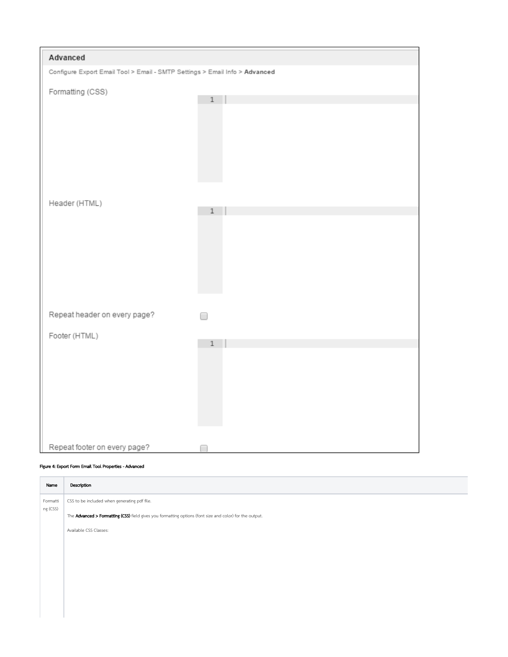| Advanced                                                                    |       |  |
|-----------------------------------------------------------------------------|-------|--|
| Configure Export Email Tool > Email - SMTP Settings > Email Info > Advanced |       |  |
| Formatting (CSS)                                                            | $\,1$ |  |
|                                                                             |       |  |
| Header (HTML)                                                               | $\,1$ |  |
|                                                                             |       |  |
| Repeat header on every page?                                                |       |  |
| Footer (HTML)                                                               |       |  |
|                                                                             | $\,1$ |  |
| Repeat footer on every page?                                                |       |  |

# Figure 4: Export Form Email Tool Properties - Advanced

| Name                 | Description                                                                                              |
|----------------------|----------------------------------------------------------------------------------------------------------|
| Formatti<br>ng (CSS) | CSS to be included when generating pdf file.                                                             |
|                      | The Advanced > Formatting (CSS) field gives you formatting options (font size and color) for the output. |
|                      | Available CSS Classes:                                                                                   |
|                      |                                                                                                          |
|                      |                                                                                                          |
|                      |                                                                                                          |
|                      |                                                                                                          |
|                      |                                                                                                          |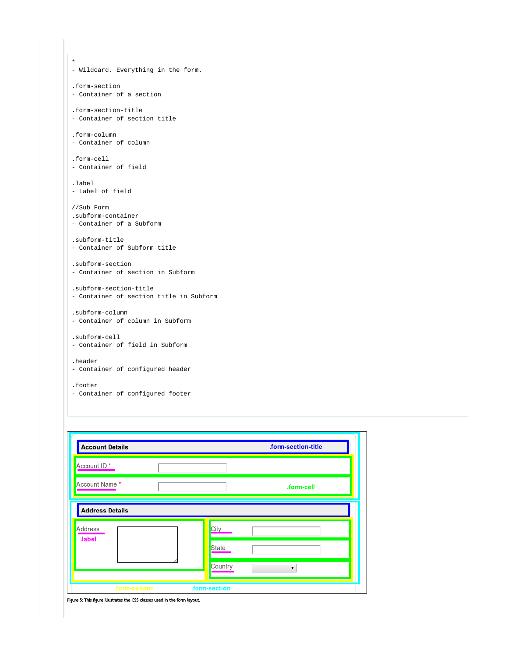```
*
- Wildcard. Everything in the form.
.form-section
- Container of a section
.form-section-title
- Container of section title
.form-column
- Container of column
.form-cell
- Container of field
.label
- Label of field
//Sub Form
.subform-container
- Container of a Subform
.subform-title
- Container of Subform title
.subform-section
- Container of section in Subform
.subform-section-title
- Container of section title in Subform
.subform-column
- Container of column in Subform
.subform-cell
- Container of field in Subform
.header
- Container of configured header
.footer
- Container of configured footer
```

| <b>Account Details</b>   | .form-section-title |
|--------------------------|---------------------|
| Account ID <sup>*</sup>  |                     |
| Account Name *           | .form-cell          |
| <b>Address Details</b>   |                     |
| <b>Address</b><br>.label | City                |
|                          | State               |
|                          | Country<br>▼        |
| .form-column             | .form-section       |

Figure 5: This figure illustrates the CSS classes used in the form layout.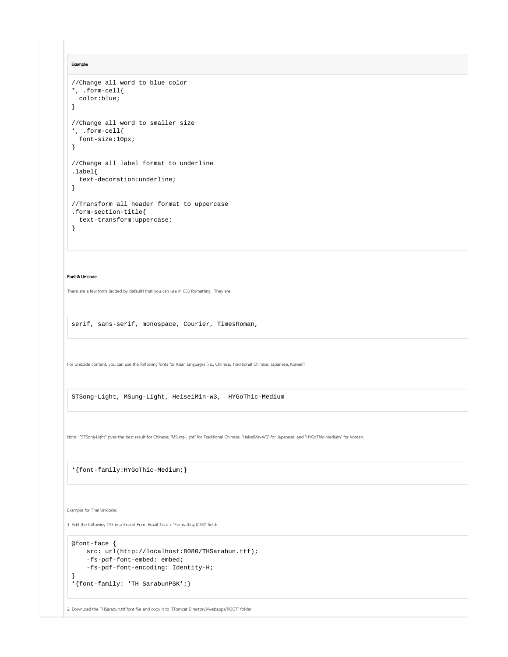Example

```
//Change all word to blue color
*, .form-cell{
  color:blue;
}
//Change all word to smaller size
*, .form-cell{
  font-size:10px;
}
//Change all label format to underline
.label{
  text-decoration:underline;
}
//Transform all header format to uppercase
.form-section-title{
  text-transform:uppercase;
}
```
#### Font & Unicode

There are a few fonts (added by default) that you can use in CSS formatting. They are:

serif, sans-serif, monospace, Courier, TimesRoman,

For Unicode content, you can use the following fonts for Asian languages (i.e., Chinese, Traditional Chinese, Japanese, Korean):

STSong-Light, MSung-Light, HeiseiMin-W3, HYGoThic-Medium

Note : "STSong-Light" gives the best result for Chinese; "MSung-Light" for Traditional Chinese; "HeiseiMin-W3" for Japanese; and "HYGoThic-Medium" for Korean.

\*{font-family:HYGoThic-Medium;}

Example for Thai Unicode:

1. Add the following CSS into Export Form Email Tool > "Formatting (CSS)" field:

```
@font-face {
   src: url(http://localhost:8080/THSarabun.ttf);
     -fs-pdf-font-embed: embed;
    -fs-pdf-font-encoding: Identity-H;
}
```

```
*{font-family: 'TH SarabunPSK';}
```
2. Download the THSarabun.ttf font file and copy it to "[Tomcat Directory]/webapps/ROOT" folder.